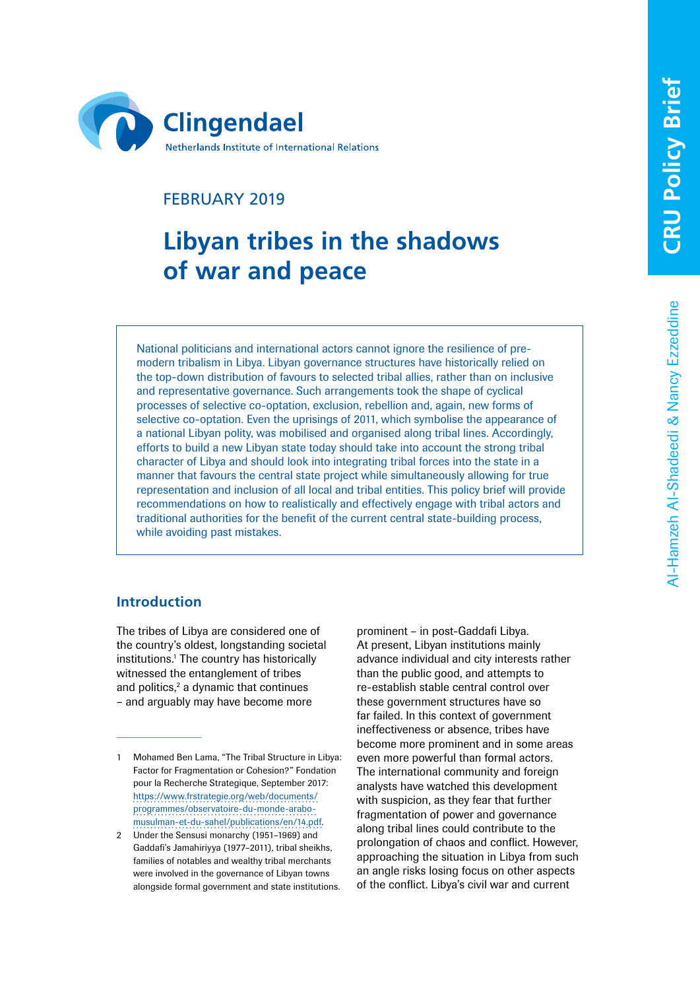

# FEBRUARY 2019

# **Libyan tribes in the shadows of war and peace**

National politicians and international actors cannot ignore the resilience of premodern tribalism in Libya. Libyan governance structures have historically relied on the top-down distribution of favours to selected tribal allies, rather than on inclusive and representative governance. Such arrangements took the shape of cyclical processes of selective co-optation, exclusion, rebellion and, again, new forms of selective co-optation. Even the uprisings of 2011, which symbolise the appearance of a national Libyan polity, was mobilised and organised along tribal lines. Accordingly, efforts to build a new Libyan state today should take into account the strong tribal character of Libya and should look into integrating tribal forces into the state in a manner that favours the central state project while simultaneously allowing for true representation and inclusion of all local and tribal entities. This policy brief will provide recommendations on how to realistically and effectively engage with tribal actors and traditional authorities for the benefit of the current central state-building process, while avoiding past mistakes.

## **Introduction**

The tribes of Libya are considered one of the country's oldest, longstanding societal institutions.<sup>1</sup> The country has historically witnessed the entanglement of tribes and politics,<sup>2</sup> a dynamic that continues – and arguably may have become more

prominent – in post-Gaddafi Libya. At present, Libyan institutions mainly advance individual and city interests rather than the public good, and attempts to re-establish stable central control over these government structures have so far failed. In this context of government ineffectiveness or absence, tribes have become more prominent and in some areas even more powerful than formal actors. The international community and foreign analysts have watched this development with suspicion, as they fear that further fragmentation of power and governance along tribal lines could contribute to the prolongation of chaos and conflict. However, approaching the situation in Libya from such an angle risks losing focus on other aspects of the conflict. Libya's civil war and current

<sup>1</sup> Mohamed Ben Lama, "The Tribal Structure in Libya: Factor for Fragmentation or Cohesion?" Fondation pour la Recherche Strategique, September 2017: [https://www.frstrategie.org/web/documents/](https://www.frstrategie.org/web/documents/programmes/observatoire-du-monde-arabo-musulman-et-du-sahel/publications/en/14.pdf) [programmes/observatoire-du-monde-arabo](https://www.frstrategie.org/web/documents/programmes/observatoire-du-monde-arabo-musulman-et-du-sahel/publications/en/14.pdf)[musulman-et-du-sahel/publications/en/14.pdf.](https://www.frstrategie.org/web/documents/programmes/observatoire-du-monde-arabo-musulman-et-du-sahel/publications/en/14.pdf)

<sup>2</sup> Under the Sensusi monarchy (1951–1969) and Gaddafi's Jamahiriyya (1977–2011), tribal sheikhs, families of notables and wealthy tribal merchants were involved in the governance of Libyan towns alongside formal government and state institutions.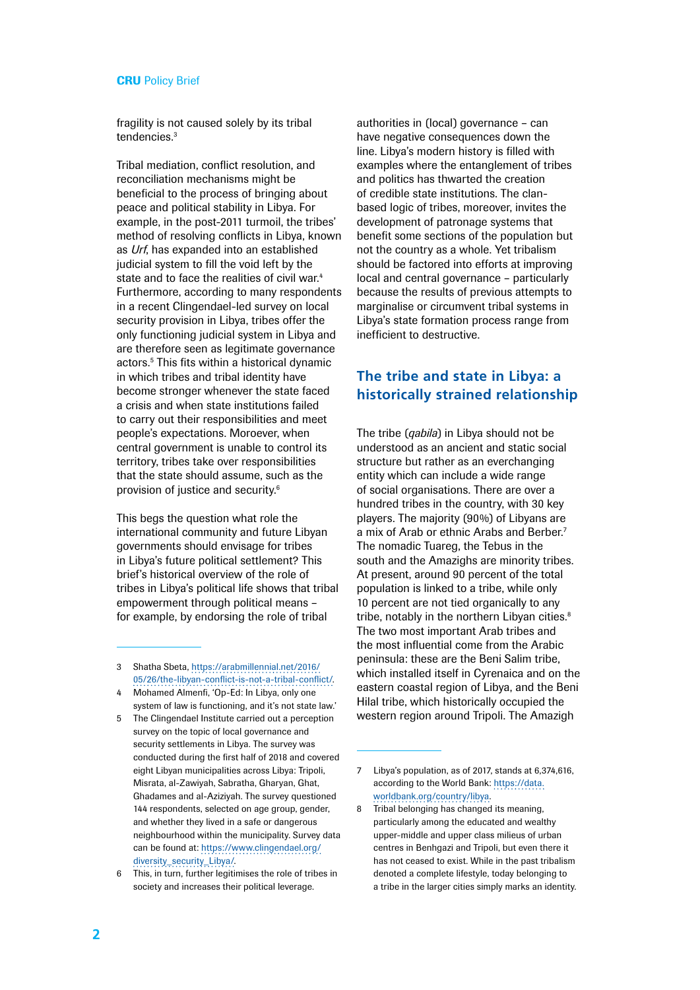fragility is not caused solely by its tribal tendencies<sup>3</sup>

Tribal mediation, conflict resolution, and reconciliation mechanisms might be beneficial to the process of bringing about peace and political stability in Libya. For example, in the post-2011 turmoil, the tribes' method of resolving conflicts in Libya, known as *Urf*, has expanded into an established judicial system to fill the void left by the state and to face the realities of civil war.<sup>4</sup> Furthermore, according to many respondents in a recent Clingendael-led survey on local security provision in Libya, tribes offer the only functioning judicial system in Libya and are therefore seen as legitimate governance actors.5 This fits within a historical dynamic in which tribes and tribal identity have become stronger whenever the state faced a crisis and when state institutions failed to carry out their responsibilities and meet people's expectations. Moroever, when central government is unable to control its territory, tribes take over responsibilities that the state should assume, such as the provision of justice and security.6

This begs the question what role the international community and future Libyan governments should envisage for tribes in Libya's future political settlement? This brief's historical overview of the role of tribes in Libya's political life shows that tribal empowerment through political means – for example, by endorsing the role of tribal

3 Shatha Sbeta, [https://arabmillennial.net/2016/](https://arabmillennial.net/2016/05/26/the-libyan-conflict-is-not-a-tribal-conflict/) [05/26/the-libyan-conflict-is-not-a-tribal-conflict/.](https://arabmillennial.net/2016/05/26/the-libyan-conflict-is-not-a-tribal-conflict/)

- 4 Mohamed Almenfi, 'Op-Ed: In Libya, only one system of law is functioning, and it's not state law.'
- 5 The Clingendael Institute carried out a perception survey on the topic of local governance and security settlements in Libya. The survey was conducted during the first half of 2018 and covered eight Libyan municipalities across Libya: Tripoli, Misrata, al-Zawiyah, Sabratha, Gharyan, Ghat, Ghadames and al-Aziziyah. The survey questioned 144 respondents, selected on age group, gender, and whether they lived in a safe or dangerous neighbourhood within the municipality. Survey data can be found at: [https://www.clingendael.org/](https://www.clingendael.org/diversity_security_Libya/) [diversity\\_security\\_Libya/](https://www.clingendael.org/diversity_security_Libya/).

authorities in (local) governance – can have negative consequences down the line. Libya's modern history is filled with examples where the entanglement of tribes and politics has thwarted the creation of credible state institutions. The clanbased logic of tribes, moreover, invites the development of patronage systems that benefit some sections of the population but not the country as a whole. Yet tribalism should be factored into efforts at improving local and central governance – particularly because the results of previous attempts to marginalise or circumvent tribal systems in Libya's state formation process range from inefficient to destructive.

## **The tribe and state in Libya: a historically strained relationship**

The tribe (*qabila*) in Libya should not be understood as an ancient and static social structure but rather as an everchanging entity which can include a wide range of social organisations. There are over a hundred tribes in the country, with 30 key players. The majority (90%) of Libyans are a mix of Arab or ethnic Arabs and Berber.7 The nomadic Tuareg, the Tebus in the south and the Amazighs are minority tribes. At present, around 90 percent of the total population is linked to a tribe, while only 10 percent are not tied organically to any tribe, notably in the northern Libyan cities.<sup>8</sup> The two most important Arab tribes and the most influential come from the Arabic peninsula: these are the Beni Salim tribe, which installed itself in Cyrenaica and on the eastern coastal region of Libya, and the Beni Hilal tribe, which historically occupied the western region around Tripoli. The Amazigh

<sup>6</sup> This, in turn, further legitimises the role of tribes in society and increases their political leverage.

<sup>7</sup> Libya's population, as of 2017, stands at 6,374,616, according to the World Bank: [https://data.](https://data.worldbank.org/country/libya) [worldbank.org/country/libya](https://data.worldbank.org/country/libya).

<sup>8</sup> Tribal belonging has changed its meaning, particularly among the educated and wealthy upper-middle and upper class milieus of urban centres in Benhgazi and Tripoli, but even there it has not ceased to exist. While in the past tribalism denoted a complete lifestyle, today belonging to a tribe in the larger cities simply marks an identity.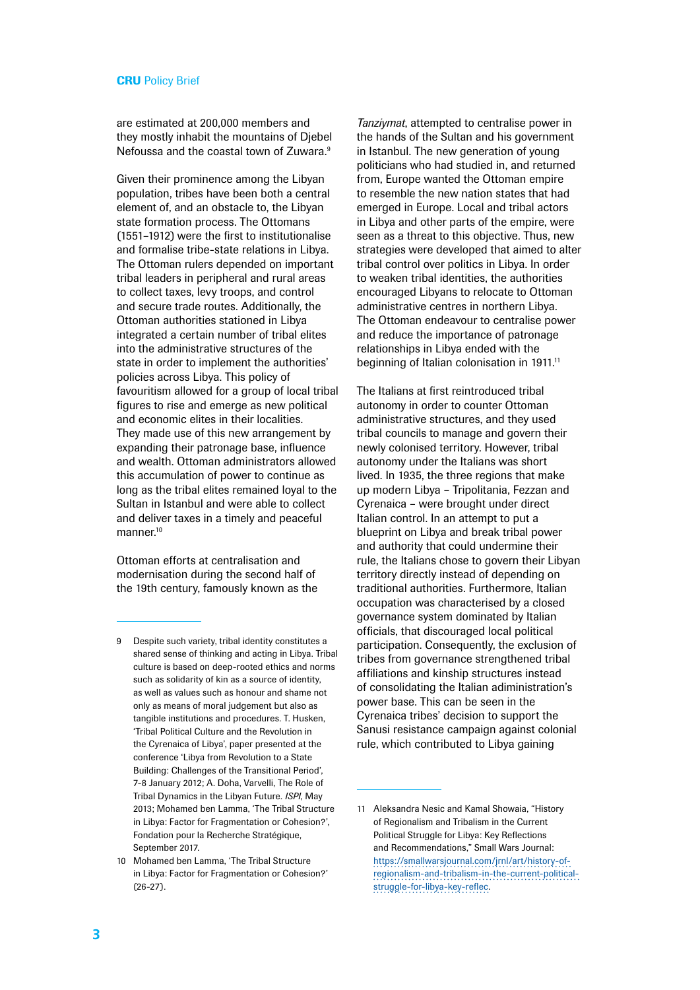are estimated at 200,000 members and they mostly inhabit the mountains of Djebel Nefoussa and the coastal town of Zuwara.<sup>9</sup>

Given their prominence among the Libyan population, tribes have been both a central element of, and an obstacle to, the Libyan state formation process. The Ottomans (1551–1912) were the first to institutionalise and formalise tribe-state relations in Libya. The Ottoman rulers depended on important tribal leaders in peripheral and rural areas to collect taxes, levy troops, and control and secure trade routes. Additionally, the Ottoman authorities stationed in Libya integrated a certain number of tribal elites into the administrative structures of the state in order to implement the authorities' policies across Libya. This policy of favouritism allowed for a group of local tribal figures to rise and emerge as new political and economic elites in their localities. They made use of this new arrangement by expanding their patronage base, influence and wealth. Ottoman administrators allowed this accumulation of power to continue as long as the tribal elites remained loyal to the Sultan in Istanbul and were able to collect and deliver taxes in a timely and peaceful manner.10

Ottoman efforts at centralisation and modernisation during the second half of the 19th century, famously known as the *Tanziymat*, attempted to centralise power in the hands of the Sultan and his government in Istanbul. The new generation of young politicians who had studied in, and returned from, Europe wanted the Ottoman empire to resemble the new nation states that had emerged in Europe. Local and tribal actors in Libya and other parts of the empire, were seen as a threat to this objective. Thus, new strategies were developed that aimed to alter tribal control over politics in Libya. In order to weaken tribal identities, the authorities encouraged Libyans to relocate to Ottoman administrative centres in northern Libya. The Ottoman endeavour to centralise power and reduce the importance of patronage relationships in Libya ended with the beginning of Italian colonisation in 1911.<sup>11</sup>

The Italians at first reintroduced tribal autonomy in order to counter Ottoman administrative structures, and they used tribal councils to manage and govern their newly colonised territory. However, tribal autonomy under the Italians was short lived. In 1935, the three regions that make up modern Libya – Tripolitania, Fezzan and Cyrenaica – were brought under direct Italian control. In an attempt to put a blueprint on Libya and break tribal power and authority that could undermine their rule, the Italians chose to govern their Libyan territory directly instead of depending on traditional authorities. Furthermore, Italian occupation was characterised by a closed governance system dominated by Italian officials, that discouraged local political participation. Consequently, the exclusion of tribes from governance strengthened tribal affiliations and kinship structures instead of consolidating the Italian adiministration's power base. This can be seen in the Cyrenaica tribes' decision to support the Sanusi resistance campaign against colonial rule, which contributed to Libya gaining

<sup>9</sup> Despite such variety, tribal identity constitutes a shared sense of thinking and acting in Libya. Tribal culture is based on deep-rooted ethics and norms such as solidarity of kin as a source of identity, as well as values such as honour and shame not only as means of moral judgement but also as tangible institutions and procedures. T. Husken, 'Tribal Political Culture and the Revolution in the Cyrenaica of Libya', paper presented at the conference 'Libya from Revolution to a State Building: Challenges of the Transitional Period', 7-8 January 2012; A. Doha, Varvelli, The Role of Tribal Dynamics in the Libyan Future. *ISPI*, May 2013; Mohamed ben Lamma, 'The Tribal Structure in Libya: Factor for Fragmentation or Cohesion?', Fondation pour la Recherche Stratégique, September 2017.

<sup>10</sup> Mohamed ben Lamma, 'The Tribal Structure in Libya: Factor for Fragmentation or Cohesion?' (26-27).

<sup>11</sup> Aleksandra Nesic and Kamal Showaia, "History of Regionalism and Tribalism in the Current Political Struggle for Libya: Key Reflections and Recommendations," Small Wars Journal: [https://smallwarsjournal.com/jrnl/art/history-of](https://smallwarsjournal.com/jrnl/art/history-of-regionalism-and-tribalism-in-the-current-political-struggle-for-libya-key-reflec)[regionalism-and-tribalism-in-the-current-political](https://smallwarsjournal.com/jrnl/art/history-of-regionalism-and-tribalism-in-the-current-political-struggle-for-libya-key-reflec)[struggle-for-libya-key-reflec.](https://smallwarsjournal.com/jrnl/art/history-of-regionalism-and-tribalism-in-the-current-political-struggle-for-libya-key-reflec)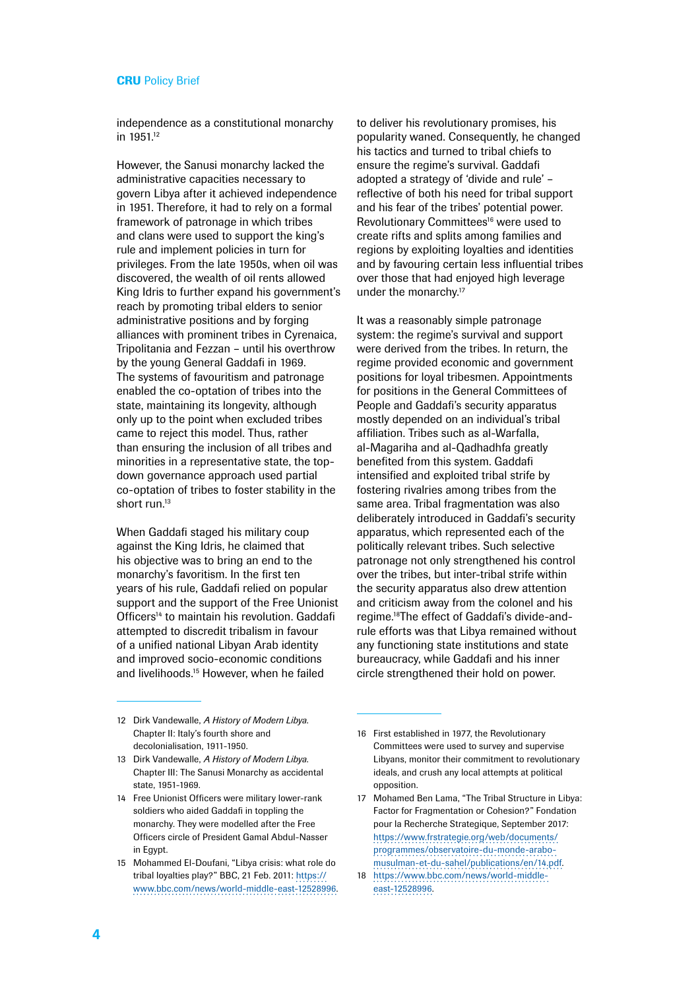independence as a constitutional monarchy in 1951.12

However, the Sanusi monarchy lacked the administrative capacities necessary to govern Libya after it achieved independence in 1951. Therefore, it had to rely on a formal framework of patronage in which tribes and clans were used to support the king's rule and implement policies in turn for privileges. From the late 1950s, when oil was discovered, the wealth of oil rents allowed King Idris to further expand his government's reach by promoting tribal elders to senior administrative positions and by forging alliances with prominent tribes in Cyrenaica, Tripolitania and Fezzan – until his overthrow by the young General Gaddafi in 1969. The systems of favouritism and patronage enabled the co-optation of tribes into the state, maintaining its longevity, although only up to the point when excluded tribes came to reject this model. Thus, rather than ensuring the inclusion of all tribes and minorities in a representative state, the topdown governance approach used partial co-optation of tribes to foster stability in the short run.<sup>13</sup>

When Gaddafi staged his military coup against the King Idris, he claimed that his objective was to bring an end to the monarchy's favoritism. In the first ten years of his rule, Gaddafi relied on popular support and the support of the Free Unionist Officers<sup>14</sup> to maintain his revolution. Gaddafi attempted to discredit tribalism in favour of a unified national Libyan Arab identity and improved socio-economic conditions and livelihoods.15 However, when he failed

to deliver his revolutionary promises, his popularity waned. Consequently, he changed his tactics and turned to tribal chiefs to ensure the regime's survival. Gaddafi adopted a strategy of 'divide and rule' – reflective of both his need for tribal support and his fear of the tribes' potential power. Revolutionary Committees<sup>16</sup> were used to create rifts and splits among families and regions by exploiting loyalties and identities and by favouring certain less influential tribes over those that had enjoyed high leverage under the monarchy.17

It was a reasonably simple patronage system: the regime's survival and support were derived from the tribes. In return, the regime provided economic and government positions for loyal tribesmen. Appointments for positions in the General Committees of People and Gaddafi's security apparatus mostly depended on an individual's tribal affiliation. Tribes such as al-Warfalla, al-Magariha and al-Qadhadhfa greatly benefited from this system. Gaddafi intensified and exploited tribal strife by fostering rivalries among tribes from the same area. Tribal fragmentation was also deliberately introduced in Gaddafi's security apparatus, which represented each of the politically relevant tribes. Such selective patronage not only strengthened his control over the tribes, but inter-tribal strife within the security apparatus also drew attention and criticism away from the colonel and his regime.18The effect of Gaddafi's divide-andrule efforts was that Libya remained without any functioning state institutions and state bureaucracy, while Gaddafi and his inner circle strengthened their hold on power.

- 14 Free Unionist Officers were military lower-rank soldiers who aided Gaddafi in toppling the monarchy. They were modelled after the Free Officers circle of President Gamal Abdul-Nasser in Egypt.
- 15 Mohammed El-Doufani, "Libya crisis: what role do tribal loyalties play?" BBC, 21 Feb. 2011: [https://](https://www.bbc.com/news/world-middle-east-12528996) [www.bbc.com/news/world-middle-east-12528996](https://www.bbc.com/news/world-middle-east-12528996).

<sup>12</sup> Dirk Vandewalle, *A History of Modern Libya*. Chapter II: Italy's fourth shore and decolonialisation, 1911-1950.

<sup>13</sup> Dirk Vandewalle, *A History of Modern Libya*. Chapter III: The Sanusi Monarchy as accidental state, 1951-1969.

<sup>16</sup> First established in 1977, the Revolutionary Committees were used to survey and supervise Libyans, monitor their commitment to revolutionary ideals, and crush any local attempts at political opposition.

<sup>17</sup> Mohamed Ben Lama, "The Tribal Structure in Libya: Factor for Fragmentation or Cohesion?" Fondation pour la Recherche Strategique, September 2017: [https://www.frstrategie.org/web/documents/](https://www.frstrategie.org/web/documents/programmes/observatoire-du-monde-arabo-musulman-et-du-sahel/publications/en/14.pdf) [programmes/observatoire-du-monde-arabo](https://www.frstrategie.org/web/documents/programmes/observatoire-du-monde-arabo-musulman-et-du-sahel/publications/en/14.pdf)[musulman-et-du-sahel/publications/en/14.pdf](https://www.frstrategie.org/web/documents/programmes/observatoire-du-monde-arabo-musulman-et-du-sahel/publications/en/14.pdf).

<sup>18</sup> [https://www.bbc.com/news/world-middle](https://www.bbc.com/news/world-middle-east-12528996)[east-12528996.](https://www.bbc.com/news/world-middle-east-12528996)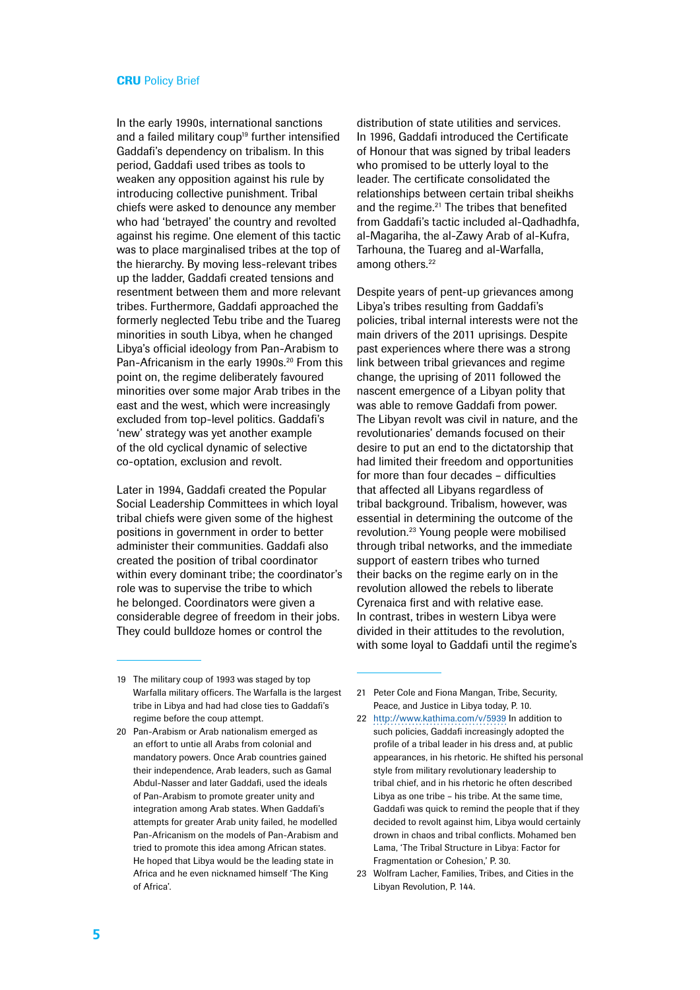In the early 1990s, international sanctions and a failed military coup<sup>19</sup> further intensified Gaddafi's dependency on tribalism. In this period, Gaddafi used tribes as tools to weaken any opposition against his rule by introducing collective punishment. Tribal chiefs were asked to denounce any member who had 'betrayed' the country and revolted against his regime. One element of this tactic was to place marginalised tribes at the top of the hierarchy. By moving less-relevant tribes up the ladder, Gaddafi created tensions and resentment between them and more relevant tribes. Furthermore, Gaddafi approached the formerly neglected Tebu tribe and the Tuareg minorities in south Libya, when he changed Libya's official ideology from Pan-Arabism to Pan-Africanism in the early 1990s.<sup>20</sup> From this point on, the regime deliberately favoured minorities over some major Arab tribes in the east and the west, which were increasingly excluded from top-level politics. Gaddafi's 'new' strategy was yet another example of the old cyclical dynamic of selective co-optation, exclusion and revolt.

Later in 1994, Gaddafi created the Popular Social Leadership Committees in which loyal tribal chiefs were given some of the highest positions in government in order to better administer their communities. Gaddafi also created the position of tribal coordinator within every dominant tribe; the coordinator's role was to supervise the tribe to which he belonged. Coordinators were given a considerable degree of freedom in their jobs. They could bulldoze homes or control the

distribution of state utilities and services. In 1996, Gaddafi introduced the Certificate of Honour that was signed by tribal leaders who promised to be utterly loyal to the leader. The certificate consolidated the relationships between certain tribal sheikhs and the regime.<sup>21</sup> The tribes that benefited from Gaddafi's tactic included al-Qadhadhfa, al-Magariha, the al-Zawy Arab of al-Kufra, Tarhouna, the Tuareg and al-Warfalla, among others.<sup>22</sup>

Despite years of pent-up grievances among Libya's tribes resulting from Gaddafi's policies, tribal internal interests were not the main drivers of the 2011 uprisings. Despite past experiences where there was a strong link between tribal grievances and regime change, the uprising of 2011 followed the nascent emergence of a Libyan polity that was able to remove Gaddafi from power. The Libyan revolt was civil in nature, and the revolutionaries' demands focused on their desire to put an end to the dictatorship that had limited their freedom and opportunities for more than four decades – difficulties that affected all Libyans regardless of tribal background. Tribalism, however, was essential in determining the outcome of the revolution.23 Young people were mobilised through tribal networks, and the immediate support of eastern tribes who turned their backs on the regime early on in the revolution allowed the rebels to liberate Cyrenaica first and with relative ease. In contrast, tribes in western Libya were divided in their attitudes to the revolution, with some loyal to Gaddafi until the regime's

23 Wolfram Lacher, Families, Tribes, and Cities in the Libyan Revolution, P. 144.

<sup>19</sup> The military coup of 1993 was staged by top Warfalla military officers. The Warfalla is the largest tribe in Libya and had had close ties to Gaddafi's regime before the coup attempt.

<sup>20</sup> Pan-Arabism or Arab nationalism emerged as an effort to untie all Arabs from colonial and mandatory powers. Once Arab countries gained their independence, Arab leaders, such as Gamal Abdul-Nasser and later Gaddafi, used the ideals of Pan-Arabism to promote greater unity and integration among Arab states. When Gaddafi's attempts for greater Arab unity failed, he modelled Pan-Africanism on the models of Pan-Arabism and tried to promote this idea among African states. He hoped that Libya would be the leading state in Africa and he even nicknamed himself 'The King of Africa'.

<sup>21</sup> Peter Cole and Fiona Mangan, Tribe, Security, Peace, and Justice in Libya today, P. 10.

<sup>22</sup> <http://www.kathima.com/v/5939>In addition to such policies, Gaddafi increasingly adopted the profile of a tribal leader in his dress and, at public appearances, in his rhetoric. He shifted his personal style from military revolutionary leadership to tribal chief, and in his rhetoric he often described Libya as one tribe – his tribe. At the same time, Gaddafi was quick to remind the people that if they decided to revolt against him, Libya would certainly drown in chaos and tribal conflicts. Mohamed ben Lama, 'The Tribal Structure in Libya: Factor for Fragmentation or Cohesion,' P. 30.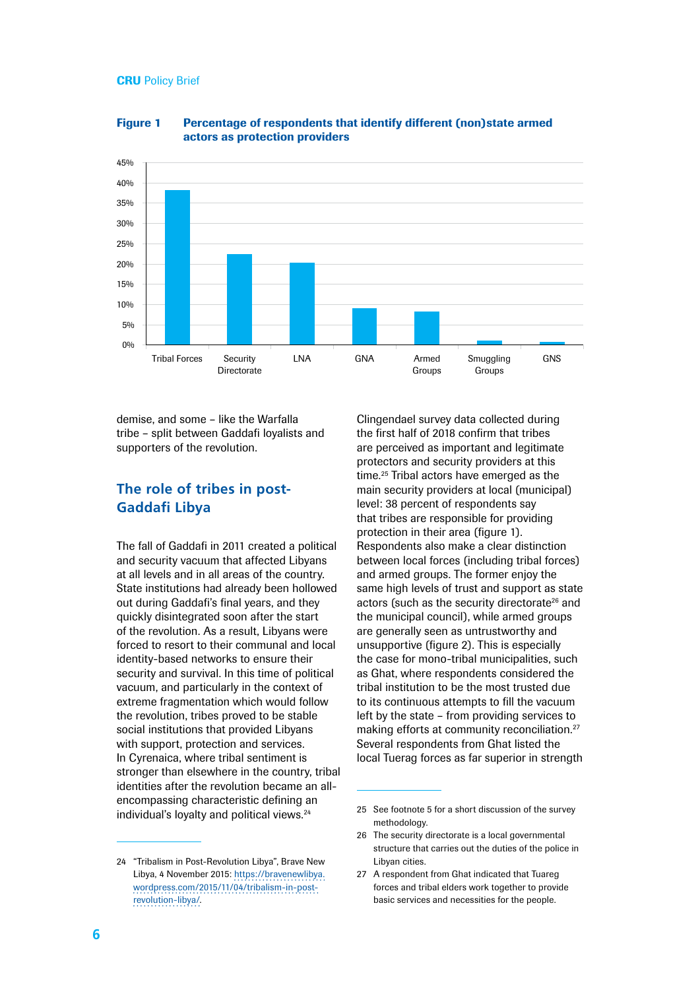

Figure 1 Percentage of respondents that identify different (non)state armed actors as protection providers

demise, and some – like the Warfalla tribe – split between Gaddafi loyalists and supporters of the revolution.

## **The role of tribes in post-Gaddafi Libya**

The fall of Gaddafi in 2011 created a political and security vacuum that affected Libyans at all levels and in all areas of the country. State institutions had already been hollowed out during Gaddafi's final years, and they quickly disintegrated soon after the start of the revolution. As a result, Libyans were forced to resort to their communal and local identity-based networks to ensure their security and survival. In this time of political vacuum, and particularly in the context of extreme fragmentation which would follow the revolution, tribes proved to be stable social institutions that provided Libyans with support, protection and services. In Cyrenaica, where tribal sentiment is stronger than elsewhere in the country, tribal identities after the revolution became an allencompassing characteristic defining an individual's loyalty and political views.<sup>24</sup>

24 "Tribalism in Post-Revolution Libya", Brave New Libya, 4 November 2015: [https://bravenewlibya.](https://bravenewlibya.wordpress.com/2015/11/04/tribalism-in-post-revolution-libya/) [wordpress.com/2015/11/04/tribalism-in-post](https://bravenewlibya.wordpress.com/2015/11/04/tribalism-in-post-revolution-libya/)[revolution-libya/.](https://bravenewlibya.wordpress.com/2015/11/04/tribalism-in-post-revolution-libya/)

Clingendael survey data collected during the first half of 2018 confirm that tribes are perceived as important and legitimate protectors and security providers at this time.25 Tribal actors have emerged as the main security providers at local (municipal) level: 38 percent of respondents say that tribes are responsible for providing protection in their area (figure 1). Respondents also make a clear distinction between local forces (including tribal forces) and armed groups. The former enjoy the same high levels of trust and support as state actors (such as the security directorate<sup>26</sup> and the municipal council), while armed groups are generally seen as untrustworthy and unsupportive (figure 2). This is especially the case for mono-tribal municipalities, such as Ghat, where respondents considered the tribal institution to be the most trusted due to its continuous attempts to fill the vacuum left by the state – from providing services to making efforts at community reconciliation.<sup>27</sup> Several respondents from Ghat listed the local Tuerag forces as far superior in strength

27 A respondent from Ghat indicated that Tuareg forces and tribal elders work together to provide basic services and necessities for the people.

<sup>25</sup> See footnote 5 for a short discussion of the survey methodology

<sup>26</sup> The security directorate is a local governmental structure that carries out the duties of the police in Libyan cities.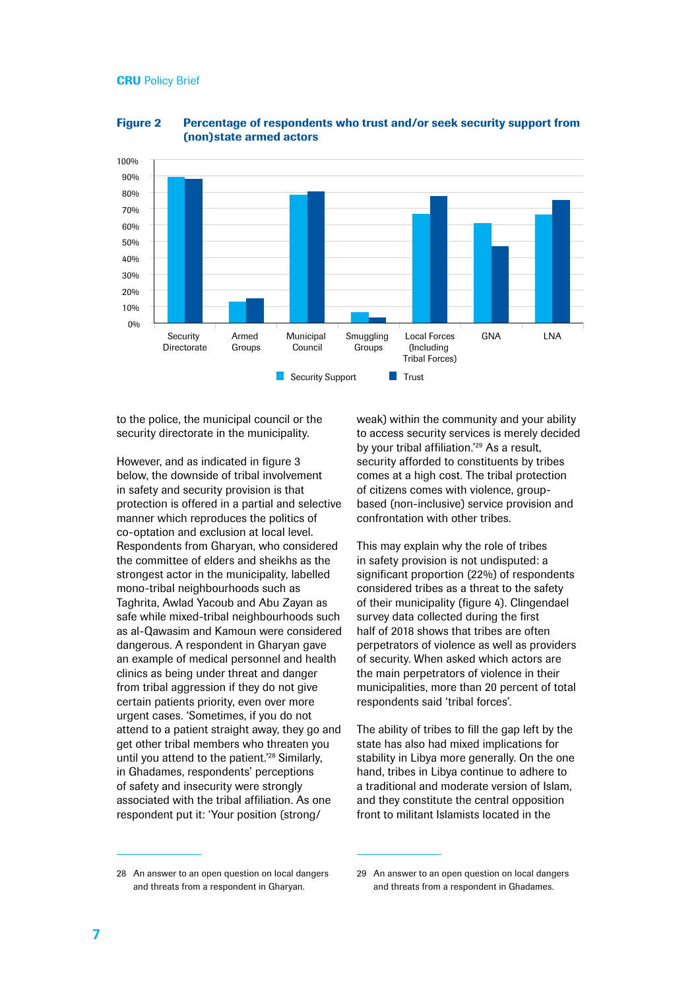

#### Figure 2 Percentage of respondents who trust and/or seek security support from (non)state armed actors

to the police, the municipal council or the security directorate in the municipality.

However, and as indicated in figure 3 below, the downside of tribal involvement in safety and security provision is that protection is offered in a partial and selective manner which reproduces the politics of co-optation and exclusion at local level. Respondents from Gharyan, who considered the committee of elders and sheikhs as the strongest actor in the municipality, labelled mono-tribal neighbourhoods such as Taghrita, Awlad Yacoub and Abu Zayan as safe while mixed-tribal neighbourhoods such as al-Qawasim and Kamoun were considered dangerous. A respondent in Gharyan gave an example of medical personnel and health clinics as being under threat and danger from tribal aggression if they do not give certain patients priority, even over more urgent cases. 'Sometimes, if you do not attend to a patient straight away, they go and get other tribal members who threaten you until you attend to the patient.'28 Similarly, in Ghadames, respondents' perceptions of safety and insecurity were strongly associated with the tribal affiliation. As one respondent put it: 'Your position (strong/

weak) within the community and your ability to access security services is merely decided by your tribal affiliation.<sup>'29</sup> As a result, security afforded to constituents by tribes comes at a high cost. The tribal protection of citizens comes with violence, groupbased (non-inclusive) service provision and confrontation with other tribes.

This may explain why the role of tribes in safety provision is not undisputed: a significant proportion (22%) of respondents considered tribes as a threat to the safety of their municipality (figure 4). Clingendael survey data collected during the first half of 2018 shows that tribes are often perpetrators of violence as well as providers of security. When asked which actors are the main perpetrators of violence in their municipalities, more than 20 percent of total respondents said 'tribal forces'.

The ability of tribes to fill the gap left by the state has also had mixed implications for stability in Libya more generally. On the one hand, tribes in Libya continue to adhere to a traditional and moderate version of Islam, and they constitute the central opposition front to militant Islamists located in the

<sup>28</sup> An answer to an open question on local dangers and threats from a respondent in Gharyan.

<sup>29</sup> An answer to an open question on local dangers and threats from a respondent in Ghadames.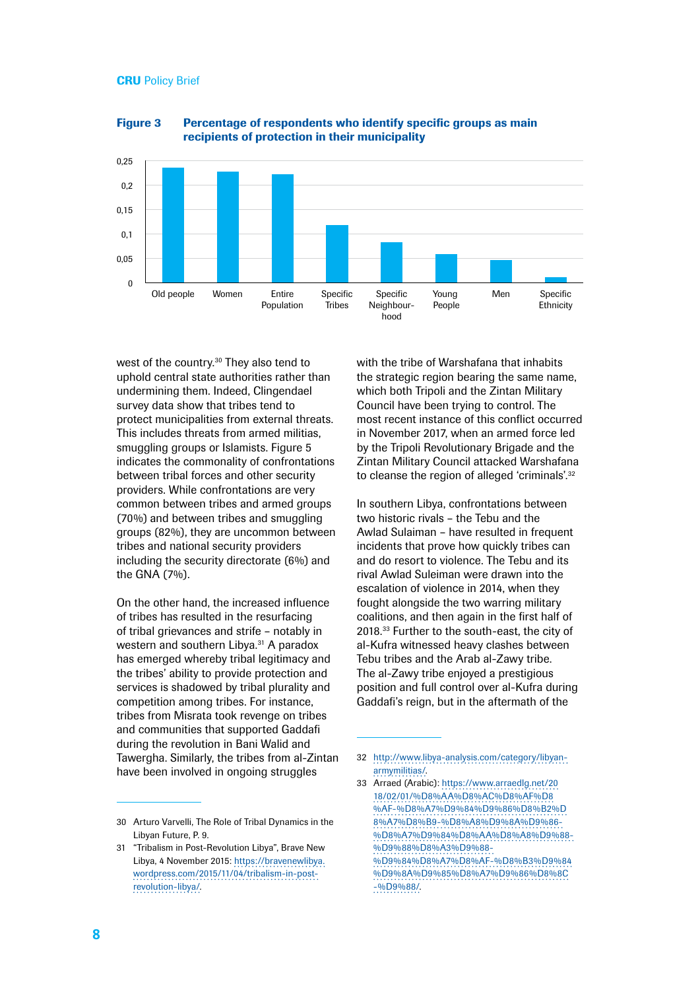

Figure 3 Percentage of respondents who identify specific groups as main recipients of protection in their municipality

west of the country.30 They also tend to uphold central state authorities rather than undermining them. Indeed, Clingendael survey data show that tribes tend to protect municipalities from external threats. This includes threats from armed militias, smuggling groups or Islamists. Figure 5 indicates the commonality of confrontations between tribal forces and other security providers. While confrontations are very common between tribes and armed groups (70%) and between tribes and smuggling groups (82%), they are uncommon between tribes and national security providers including the security directorate (6%) and the GNA (7%).

On the other hand, the increased influence of tribes has resulted in the resurfacing of tribal grievances and strife – notably in western and southern Libya.<sup>31</sup> A paradox has emerged whereby tribal legitimacy and the tribes' ability to provide protection and services is shadowed by tribal plurality and competition among tribes. For instance, tribes from Misrata took revenge on tribes and communities that supported Gaddafi during the revolution in Bani Walid and Tawergha. Similarly, the tribes from al-Zintan have been involved in ongoing struggles

with the tribe of Warshafana that inhabits the strategic region bearing the same name, which both Tripoli and the Zintan Military Council have been trying to control. The most recent instance of this conflict occurred in November 2017, when an armed force led by the Tripoli Revolutionary Brigade and the Zintan Military Council attacked Warshafana to cleanse the region of alleged 'criminals'.<sup>32</sup>

In southern Libya, confrontations between two historic rivals – the Tebu and the Awlad Sulaiman – have resulted in frequent incidents that prove how quickly tribes can and do resort to violence. The Tebu and its rival Awlad Suleiman were drawn into the escalation of violence in 2014, when they fought alongside the two warring military coalitions, and then again in the first half of 2018.33 Further to the south-east, the city of al-Kufra witnessed heavy clashes between Tebu tribes and the Arab al-Zawy tribe. The al-Zawy tribe enjoyed a prestigious position and full control over al-Kufra during Gaddafi's reign, but in the aftermath of the

<sup>30</sup> Arturo Varvelli, The Role of Tribal Dynamics in the Libyan Future, P. 9.

<sup>31</sup> "Tribalism in Post-Revolution Libya", Brave New Libya, 4 November 2015: [https://bravenewlibya.](https://bravenewlibya.wordpress.com/2015/11/04/tribalism-in-post-revolution-libya/) [wordpress.com/2015/11/04/tribalism-in-post](https://bravenewlibya.wordpress.com/2015/11/04/tribalism-in-post-revolution-libya/)[revolution-libya/.](https://bravenewlibya.wordpress.com/2015/11/04/tribalism-in-post-revolution-libya/)

<sup>32</sup> [http://www.libya-analysis.com/category/libyan](http://www.libya-analysis.com/category/libyan-armymilitias/)[armymilitias/.](http://www.libya-analysis.com/category/libyan-armymilitias/)

<sup>33</sup> Arraed (Arabic): [https://www.arraedlg.net/20](https://www.arraedlg.net/2018/02/01/%D8%AA%D8%AC%D8%AF%D8%AF-%D8%A7%D9%84%D9%86%D8%B2%D8%A7%D8%B9-%D8%A8%D9%8A%D9%86-%D8%A7%D9%84%D8%AA%D8%A8%D9%88-%D9%88%D8%A3%D9%88%D9%84%D8%A7%D8%AF-%D8%B3%D9%84%D9%8A%D9%85%D8%A7%D9%86%D8%8C-%D9%88/) [18/02/01/%D8%AA%D8%AC%D8%AF%D8](https://www.arraedlg.net/2018/02/01/%D8%AA%D8%AC%D8%AF%D8%AF-%D8%A7%D9%84%D9%86%D8%B2%D8%A7%D8%B9-%D8%A8%D9%8A%D9%86-%D8%A7%D9%84%D8%AA%D8%A8%D9%88-%D9%88%D8%A3%D9%88%D9%84%D8%A7%D8%AF-%D8%B3%D9%84%D9%8A%D9%85%D8%A7%D9%86%D8%8C-%D9%88/) [%AF-%D8%A7%D9%84%D9%86%D8%B2%D](https://www.arraedlg.net/2018/02/01/%D8%AA%D8%AC%D8%AF%D8%AF-%D8%A7%D9%84%D9%86%D8%B2%D8%A7%D8%B9-%D8%A8%D9%8A%D9%86-%D8%A7%D9%84%D8%AA%D8%A8%D9%88-%D9%88%D8%A3%D9%88%D9%84%D8%A7%D8%AF-%D8%B3%D9%84%D9%8A%D9%85%D8%A7%D9%86%D8%8C-%D9%88/) [8%A7%D8%B9-%D8%A8%D9%8A%D9%86-](https://www.arraedlg.net/2018/02/01/%D8%AA%D8%AC%D8%AF%D8%AF-%D8%A7%D9%84%D9%86%D8%B2%D8%A7%D8%B9-%D8%A8%D9%8A%D9%86-%D8%A7%D9%84%D8%AA%D8%A8%D9%88-%D9%88%D8%A3%D9%88%D9%84%D8%A7%D8%AF-%D8%B3%D9%84%D9%8A%D9%85%D8%A7%D9%86%D8%8C-%D9%88/) [%D8%A7%D9%84%D8%AA%D8%A8%D9%88-](https://www.arraedlg.net/2018/02/01/%D8%AA%D8%AC%D8%AF%D8%AF-%D8%A7%D9%84%D9%86%D8%B2%D8%A7%D8%B9-%D8%A8%D9%8A%D9%86-%D8%A7%D9%84%D8%AA%D8%A8%D9%88-%D9%88%D8%A3%D9%88%D9%84%D8%A7%D8%AF-%D8%B3%D9%84%D9%8A%D9%85%D8%A7%D9%86%D8%8C-%D9%88/) [%D9%88%D8%A3%D9%88-](https://www.arraedlg.net/2018/02/01/%D8%AA%D8%AC%D8%AF%D8%AF-%D8%A7%D9%84%D9%86%D8%B2%D8%A7%D8%B9-%D8%A8%D9%8A%D9%86-%D8%A7%D9%84%D8%AA%D8%A8%D9%88-%D9%88%D8%A3%D9%88%D9%84%D8%A7%D8%AF-%D8%B3%D9%84%D9%8A%D9%85%D8%A7%D9%86%D8%8C-%D9%88/) [%D9%84%D8%A7%D8%AF-%D8%B3%D9%84](https://www.arraedlg.net/2018/02/01/%D8%AA%D8%AC%D8%AF%D8%AF-%D8%A7%D9%84%D9%86%D8%B2%D8%A7%D8%B9-%D8%A8%D9%8A%D9%86-%D8%A7%D9%84%D8%AA%D8%A8%D9%88-%D9%88%D8%A3%D9%88%D9%84%D8%A7%D8%AF-%D8%B3%D9%84%D9%8A%D9%85%D8%A7%D9%86%D8%8C-%D9%88/) [%D9%8A%D9%85%D8%A7%D9%86%D8%8C](https://www.arraedlg.net/2018/02/01/%D8%AA%D8%AC%D8%AF%D8%AF-%D8%A7%D9%84%D9%86%D8%B2%D8%A7%D8%B9-%D8%A8%D9%8A%D9%86-%D8%A7%D9%84%D8%AA%D8%A8%D9%88-%D9%88%D8%A3%D9%88%D9%84%D8%A7%D8%AF-%D8%B3%D9%84%D9%8A%D9%85%D8%A7%D9%86%D8%8C-%D9%88/) [-%D9%88/.](https://www.arraedlg.net/2018/02/01/%D8%AA%D8%AC%D8%AF%D8%AF-%D8%A7%D9%84%D9%86%D8%B2%D8%A7%D8%B9-%D8%A8%D9%8A%D9%86-%D8%A7%D9%84%D8%AA%D8%A8%D9%88-%D9%88%D8%A3%D9%88%D9%84%D8%A7%D8%AF-%D8%B3%D9%84%D9%8A%D9%85%D8%A7%D9%86%D8%8C-%D9%88/)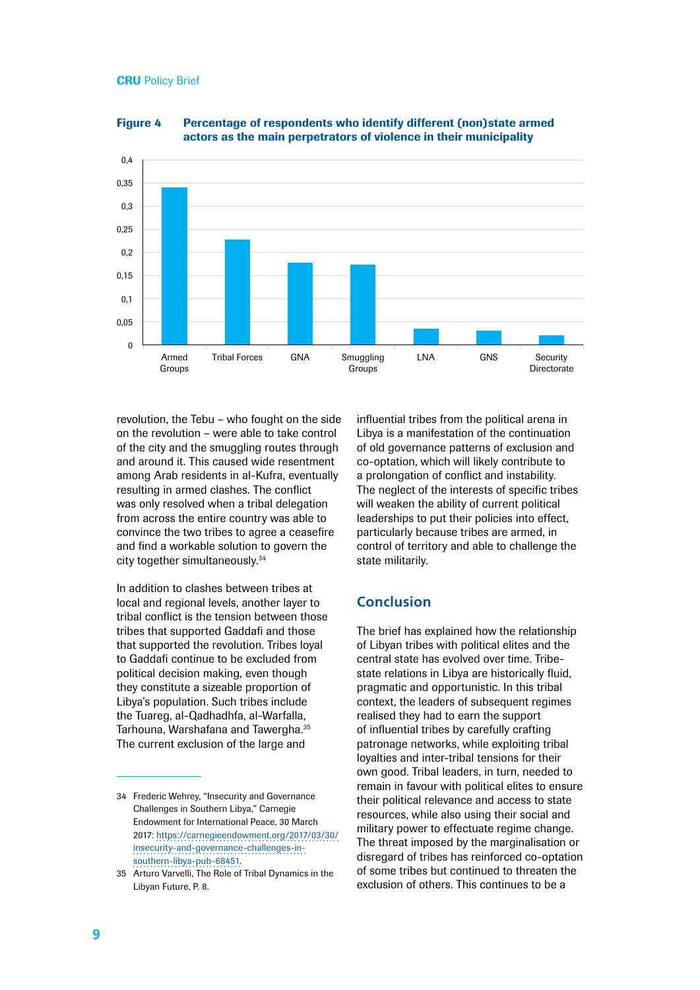

Figure 4 Percentage of respondents who identify different (non)state armed actors as the main perpetrators of violence in their municipality

revolution, the Tebu – who fought on the side on the revolution – were able to take control of the city and the smuggling routes through and around it. This caused wide resentment among Arab residents in al-Kufra, eventually resulting in armed clashes. The conflict was only resolved when a tribal delegation from across the entire country was able to convince the two tribes to agree a ceasefire and find a workable solution to govern the city together simultaneously.34

In addition to clashes between tribes at local and regional levels, another layer to tribal conflict is the tension between those tribes that supported Gaddafi and those that supported the revolution. Tribes loyal to Gaddafi continue to be excluded from political decision making, even though they constitute a sizeable proportion of Libya's population. Such tribes include the Tuareg, al-Qadhadhfa, al-Warfalla, Tarhouna, Warshafana and Tawergha.35 The current exclusion of the large and

influential tribes from the political arena in Libya is a manifestation of the continuation of old governance patterns of exclusion and co-optation, which will likely contribute to a prolongation of conflict and instability. The neglect of the interests of specific tribes will weaken the ability of current political leaderships to put their policies into effect, particularly because tribes are armed, in control of territory and able to challenge the state militarily.

## **Conclusion**

The brief has explained how the relationship of Libyan tribes with political elites and the central state has evolved over time. Tribestate relations in Libya are historically fluid, pragmatic and opportunistic. In this tribal context, the leaders of subsequent regimes realised they had to earn the support of influential tribes by carefully crafting patronage networks, while exploiting tribal loyalties and inter-tribal tensions for their own good. Tribal leaders, in turn, needed to remain in favour with political elites to ensure their political relevance and access to state resources, while also using their social and military power to effectuate regime change. The threat imposed by the marginalisation or disregard of tribes has reinforced co-optation of some tribes but continued to threaten the exclusion of others. This continues to be a

<sup>34</sup> Frederic Wehrey, "Insecurity and Governance Challenges in Southern Libya," Carnegie Endowment for International Peace, 30 March 2017: [https://carnegieendowment.org/2017/03/30/](https://carnegieendowment.org/2017/03/30/insecurity-and-governance-challenges-in-southern-libya-pub-68451) [insecurity-and-governance-challenges-in](https://carnegieendowment.org/2017/03/30/insecurity-and-governance-challenges-in-southern-libya-pub-68451)[southern-libya-pub-68451.](https://carnegieendowment.org/2017/03/30/insecurity-and-governance-challenges-in-southern-libya-pub-68451)

<sup>35</sup> Arturo Varvelli, The Role of Tribal Dynamics in the Libyan Future, P. 8.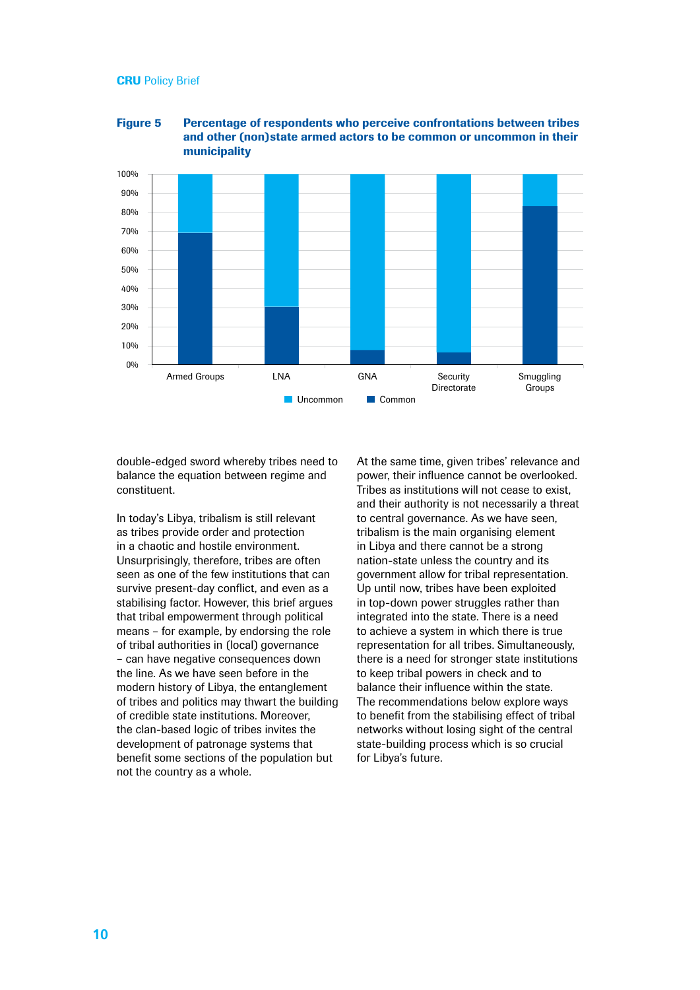



double-edged sword whereby tribes need to balance the equation between regime and constituent.

In today's Libya, tribalism is still relevant as tribes provide order and protection in a chaotic and hostile environment. Unsurprisingly, therefore, tribes are often seen as one of the few institutions that can survive present-day conflict, and even as a stabilising factor. However, this brief argues that tribal empowerment through political means – for example, by endorsing the role of tribal authorities in (local) governance – can have negative consequences down the line. As we have seen before in the modern history of Libya, the entanglement of tribes and politics may thwart the building of credible state institutions. Moreover, the clan-based logic of tribes invites the development of patronage systems that benefit some sections of the population but not the country as a whole.

At the same time, given tribes' relevance and power, their influence cannot be overlooked. Tribes as institutions will not cease to exist, and their authority is not necessarily a threat to central governance. As we have seen, tribalism is the main organising element in Libya and there cannot be a strong nation-state unless the country and its government allow for tribal representation. Up until now, tribes have been exploited in top-down power struggles rather than integrated into the state. There is a need to achieve a system in which there is true representation for all tribes. Simultaneously, there is a need for stronger state institutions to keep tribal powers in check and to balance their influence within the state. The recommendations below explore ways to benefit from the stabilising effect of tribal networks without losing sight of the central state-building process which is so crucial for Libya's future.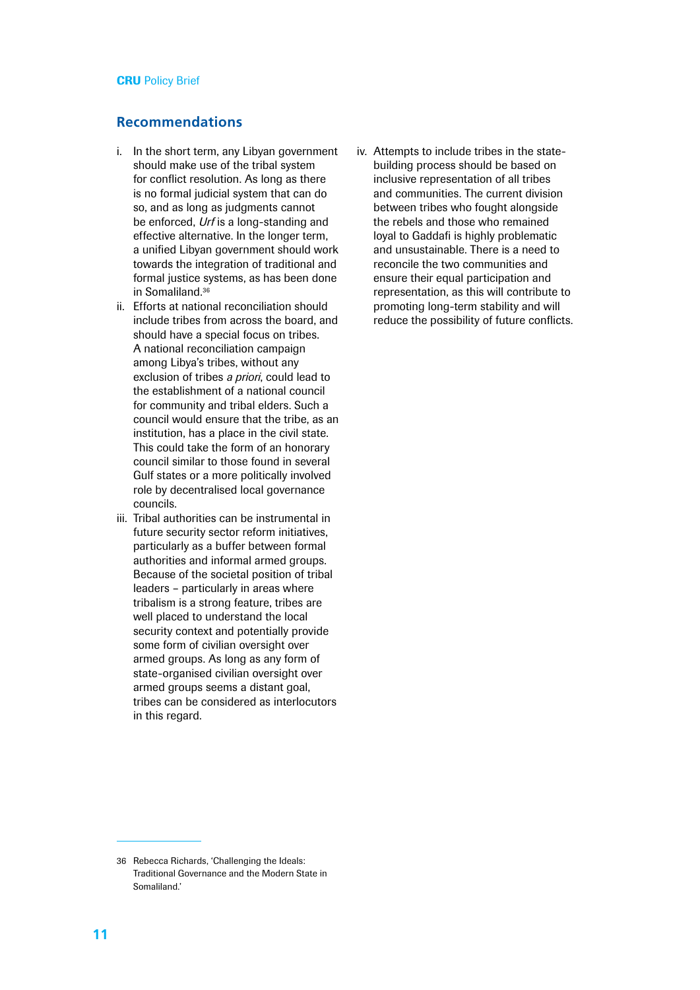## **Recommendations**

- i. In the short term, any Libyan government should make use of the tribal system for conflict resolution. As long as there is no formal judicial system that can do so, and as long as judgments cannot be enforced, *Urf* is a long-standing and effective alternative. In the longer term, a unified Libyan government should work towards the integration of traditional and formal justice systems, as has been done in Somaliland.36
- ii. Efforts at national reconciliation should include tribes from across the board, and should have a special focus on tribes. A national reconciliation campaign among Libya's tribes, without any exclusion of tribes *a priori*, could lead to the establishment of a national council for community and tribal elders. Such a council would ensure that the tribe, as an institution, has a place in the civil state. This could take the form of an honorary council similar to those found in several Gulf states or a more politically involved role by decentralised local governance councils.
- iii. Tribal authorities can be instrumental in future security sector reform initiatives, particularly as a buffer between formal authorities and informal armed groups. Because of the societal position of tribal leaders – particularly in areas where tribalism is a strong feature, tribes are well placed to understand the local security context and potentially provide some form of civilian oversight over armed groups. As long as any form of state-organised civilian oversight over armed groups seems a distant goal, tribes can be considered as interlocutors in this regard.

iv. Attempts to include tribes in the statebuilding process should be based on inclusive representation of all tribes and communities. The current division between tribes who fought alongside the rebels and those who remained loyal to Gaddafi is highly problematic and unsustainable. There is a need to reconcile the two communities and ensure their equal participation and representation, as this will contribute to promoting long-term stability and will reduce the possibility of future conflicts.

<sup>36</sup> Rebecca Richards, 'Challenging the Ideals: Traditional Governance and the Modern State in Somaliland.'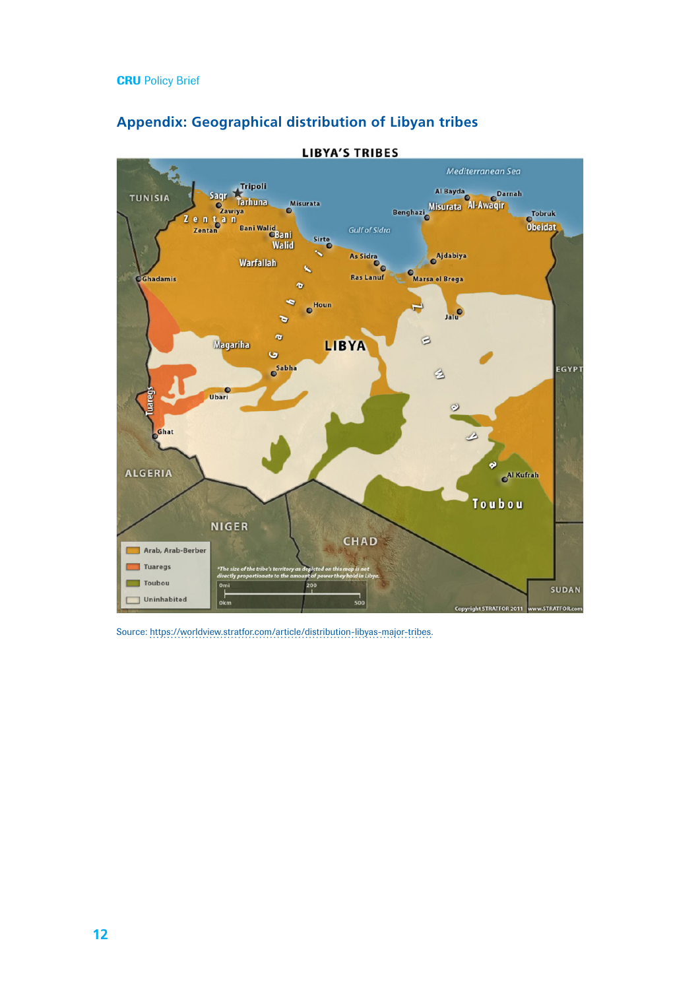

# **Appendix: Geographical distribution of Libyan tribes**

Source: [https://worldview.stratfor.com/article/distribution-libyas-major-tribes.](https://worldview.stratfor.com/article/distribution-libyas-major-tribes)